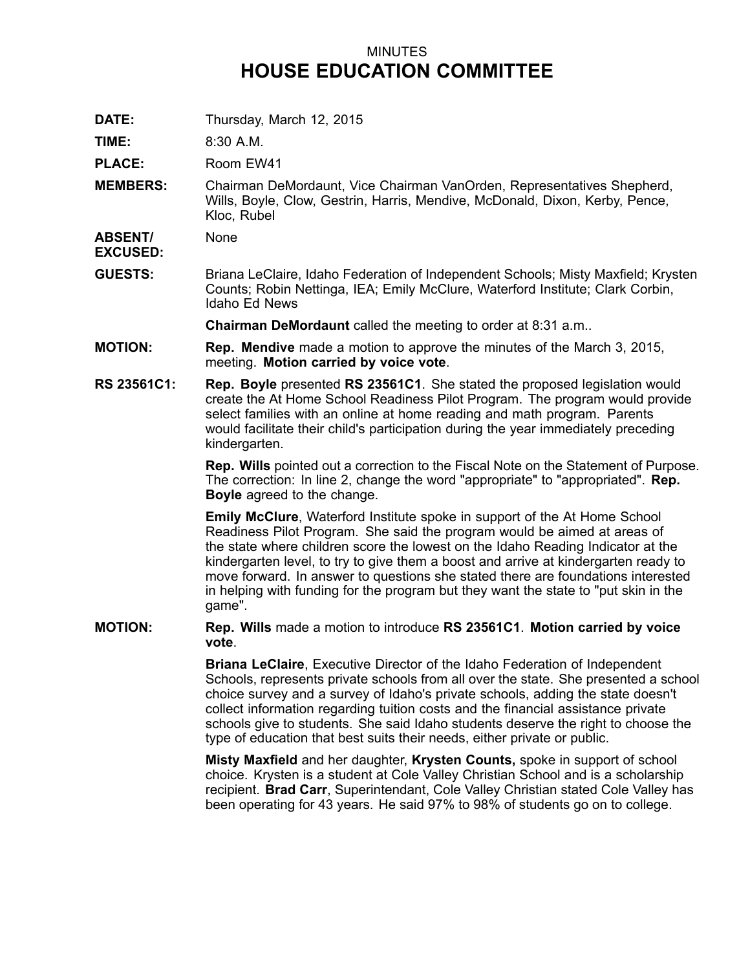## MINUTES **HOUSE EDUCATION COMMITTEE**

**DATE:** Thursday, March 12, 2015

**TIME:** 8:30 A.M.

**PLACE:** Room EW41

**MEMBERS:** Chairman DeMordaunt, Vice Chairman VanOrden, Representatives Shepherd, Wills, Boyle, Clow, Gestrin, Harris, Mendive, McDonald, Dixon, Kerby, Pence, Kloc, Rubel

**ABSENT/** None

**EXCUSED:**

**GUESTS:** Briana LeClaire, Idaho Federation of Independent Schools; Misty Maxfield; Krysten Counts; Robin Nettinga, IEA; Emily McClure, Waterford Institute; Clark Corbin, Idaho Ed News

**Chairman DeMordaunt** called the meeting to order at 8:31 a.m..

- **MOTION: Rep. Mendive** made <sup>a</sup> motion to approve the minutes of the March 3, 2015, meeting. **Motion carried by voice vote**.
- **RS 23561C1: Rep. Boyle** presented **RS 23561C1**. She stated the proposed legislation would create the At Home School Readiness Pilot Program. The program would provide select families with an online at home reading and math program. Parents would facilitate their child's participation during the year immediately preceding kindergarten.

**Rep. Wills** pointed out <sup>a</sup> correction to the Fiscal Note on the Statement of Purpose. The correction: In line 2, change the word "appropriate" to "appropriated". **Rep. Boyle** agreed to the change.

**Emily McClure**, Waterford Institute spoke in support of the At Home School Readiness Pilot Program. She said the program would be aimed at areas of the state where children score the lowest on the Idaho Reading Indicator at the kindergarten level, to try to give them <sup>a</sup> boost and arrive at kindergarten ready to move forward. In answer to questions she stated there are foundations interested in helping with funding for the program but they want the state to "put skin in the game".

**MOTION: Rep. Wills** made <sup>a</sup> motion to introduce **RS 23561C1**. **Motion carried by voice vote**.

> **Briana LeClaire**, Executive Director of the Idaho Federation of Independent Schools, represents private schools from all over the state. She presented <sup>a</sup> school choice survey and <sup>a</sup> survey of Idaho's private schools, adding the state doesn't collect information regarding tuition costs and the financial assistance private schools give to students. She said Idaho students deserve the right to choose the type of education that best suits their needs, either private or public.

**Misty Maxfield** and her daughter, **Krysten Counts,** spoke in support of school choice. Krysten is <sup>a</sup> student at Cole Valley Christian School and is <sup>a</sup> scholarship recipient. **Brad Carr**, Superintendant, Cole Valley Christian stated Cole Valley has been operating for 43 years. He said 97% to 98% of students go on to college.